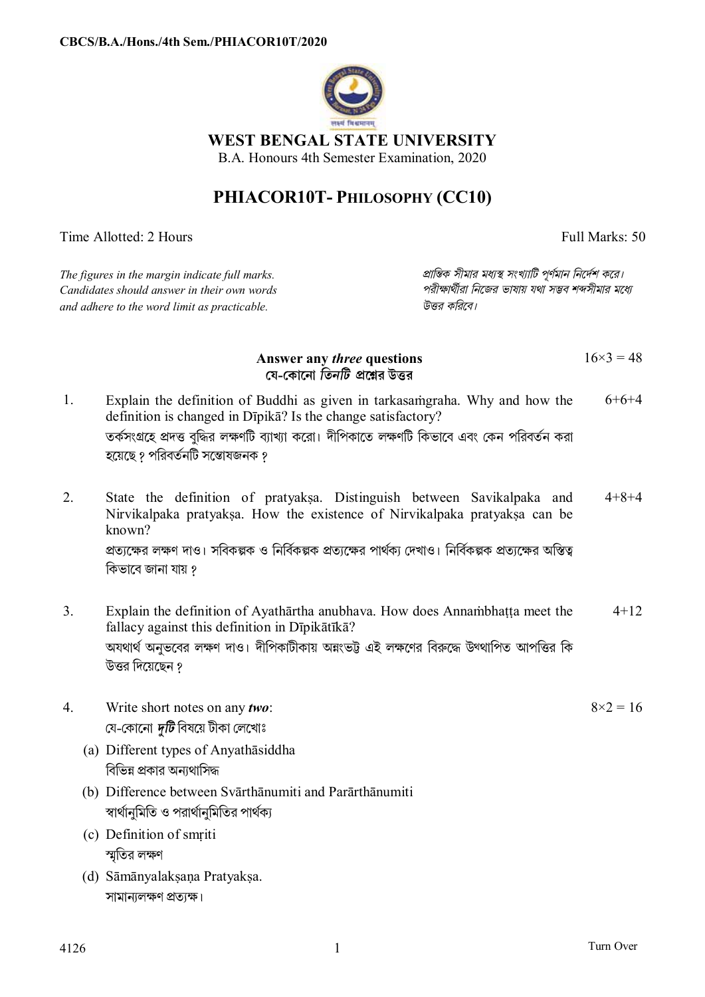

**WEST BENGAL STATE UNIVERSITY** 

B.A. Honours 4th Semester Examination, 2020

## **PHIACOR10T- PHILOSOPHY (CC10)**

Time Allotted: 2 Hours Full Marks: 50

| The figures in the margin indicate full marks.<br>Candidates should answer in their own words<br>and adhere to the word limit as practicable. |                                                                                                                                                                                                                                                                                             | প্রান্তিক সীমার মধ্যস্থ সংখ্যাটি পূর্ণমান নির্দেশ করে।<br>পরীক্ষার্থীরা নিজের ভাষায় যথা সম্ভব শব্দসীমার মধ্যে<br>উত্তর করিবে। |                |
|-----------------------------------------------------------------------------------------------------------------------------------------------|---------------------------------------------------------------------------------------------------------------------------------------------------------------------------------------------------------------------------------------------------------------------------------------------|--------------------------------------------------------------------------------------------------------------------------------|----------------|
|                                                                                                                                               | Answer any <i>three</i> questions<br>যে-কোনো তিনটি প্রশ্নের উত্তর                                                                                                                                                                                                                           |                                                                                                                                | $16\times3=48$ |
|                                                                                                                                               | Explain the definition of Buddhi as given in tarkasamgraha. Why and how the<br>$6+6+4$<br>definition is changed in Dipika? Is the change satisfactory?<br>তর্কসংগ্রহে প্রদত্ত বুদ্ধির লক্ষণটি ব্যাখ্যা করো। দীপিকাতে লক্ষণটি কিভাবে এবং কেন পরিবর্তন করা<br>হয়েছে ? পরিবর্তনটি সম্ভোষজনক ? |                                                                                                                                |                |

- 2. State the definition of pratyakṣa. Distinguish between Savikalpaka and Nirvikalpaka pratyaksa. How the existence of Nirvikalpaka pratyaksa can be known? প্রত্যক্ষের লক্ষণ দাও। সবিকল্পক ও নির্বিকল্পক প্রত্যক্ষের পার্থক্য দেখাও। নির্বিকল্পক প্রত্যক্ষের অস্তিত্ব কিভাবে জানা যায় ? 4+8+4
- 3. Explain the definition of Ayathārtha anubhava. How does Annaṁbhaṭṭa meet the fallacy against this definition in Dīpikātīkā? অযথার্থ অনুভবের লক্ষণ দাও। দীপিকাটীকায় অন্নংভট্ট এই লক্ষণের বিরুদ্ধে উথ্থাপিত আপত্তির কি উত্তর দিয়েছেন ? 4+12
- 4. Write short notes on any *two*: েয-েকােনা *dিট* িবষেয় টীকা েলেখাঃ
	- (a) Different types of Anyathāsiddha বিভিন্ন প্রকার অন্যথাসিদ্ধ
	- (b) Difference between Svārthānumiti and Parārthānumiti স্বার্থানুমিতি ও পরার্থানুমিতির পার্থক্য
	- (c) Definition of smṛiti স্মতির লক্ষণ
	- (d) Sāmānyalakṣaṇa Pratyakṣa. সামান্যলক্ষণ প্ৰত্যক্ষ।

 $8 \times 2 = 16$